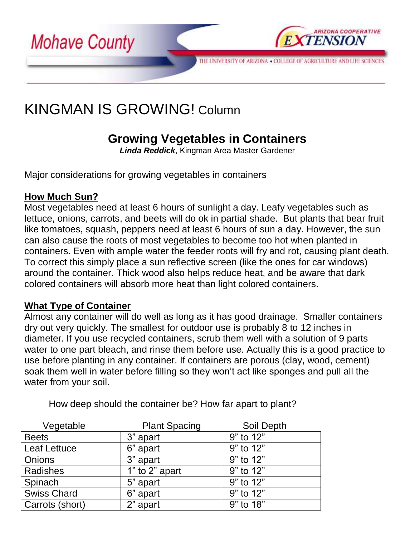

# KINGMAN IS GROWING! Column

## **Growing Vegetables in Containers**

*Linda Reddick*, Kingman Area Master Gardener

Major considerations for growing vegetables in containers

### **How Much Sun?**

Most vegetables need at least 6 hours of sunlight a day. Leafy vegetables such as lettuce, onions, carrots, and beets will do ok in partial shade. But plants that bear fruit like tomatoes, squash, peppers need at least 6 hours of sun a day. However, the sun can also cause the roots of most vegetables to become too hot when planted in containers. Even with ample water the feeder roots will fry and rot, causing plant death. To correct this simply place a sun reflective screen (like the ones for car windows) around the container. Thick wood also helps reduce heat, and be aware that dark colored containers will absorb more heat than light colored containers.

#### **What Type of Container**

Almost any container will do well as long as it has good drainage. Smaller containers dry out very quickly. The smallest for outdoor use is probably 8 to 12 inches in diameter. If you use recycled containers, scrub them well with a solution of 9 parts water to one part bleach, and rinse them before use. Actually this is a good practice to use before planting in any container. If containers are porous (clay, wood, cement) soak them well in water before filling so they won't act like sponges and pull all the water from your soil.

| Vegetable           | <b>Plant Spacing</b> | Soil Depth |
|---------------------|----------------------|------------|
| <b>Beets</b>        | 3" apart             | 9" to 12"  |
| <b>Leaf Lettuce</b> | 6" apart             | 9" to 12"  |
| <b>Onions</b>       | 3" apart             | 9" to 12"  |
| Radishes            | 1" to 2" apart       | 9" to 12"  |
| Spinach             | 5" apart             | 9" to 12"  |
| <b>Swiss Chard</b>  | 6" apart             | 9" to 12"  |
| Carrots (short)     | 2" apart             | 9" to 18"  |

How deep should the container be? How far apart to plant?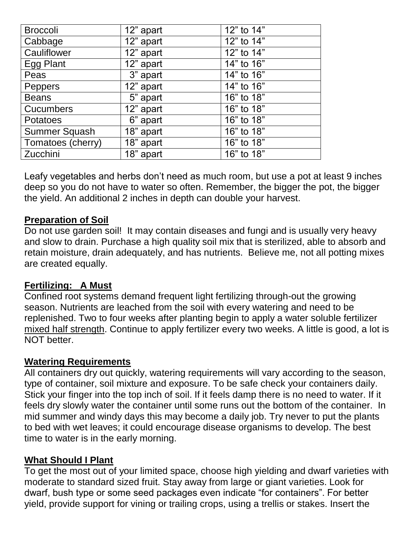| <b>Broccoli</b>   | 12" apart | 12" to 14" |
|-------------------|-----------|------------|
| Cabbage           | 12" apart | 12" to 14" |
| Cauliflower       | 12" apart | 12" to 14" |
| Egg Plant         | 12" apart | 14" to 16" |
| Peas              | 3" apart  | 14" to 16" |
| Peppers           | 12" apart | 14" to 16" |
| <b>Beans</b>      | 5" apart  | 16" to 18" |
| <b>Cucumbers</b>  | 12" apart | 16" to 18" |
| Potatoes          | 6" apart  | 16" to 18" |
| Summer Squash     | 18" apart | 16" to 18" |
| Tomatoes (cherry) | 18" apart | 16" to 18" |
| Zucchini          | 18" apart | 16" to 18" |

Leafy vegetables and herbs don't need as much room, but use a pot at least 9 inches deep so you do not have to water so often. Remember, the bigger the pot, the bigger the yield. An additional 2 inches in depth can double your harvest.

### **Preparation of Soil**

Do not use garden soil! It may contain diseases and fungi and is usually very heavy and slow to drain. Purchase a high quality soil mix that is sterilized, able to absorb and retain moisture, drain adequately, and has nutrients. Believe me, not all potting mixes are created equally.

#### **Fertilizing: A Must**

Confined root systems demand frequent light fertilizing through-out the growing season. Nutrients are leached from the soil with every watering and need to be replenished. Two to four weeks after planting begin to apply a water soluble fertilizer mixed half strength. Continue to apply fertilizer every two weeks. A little is good, a lot is NOT better.

#### **Watering Requirements**

All containers dry out quickly, watering requirements will vary according to the season, type of container, soil mixture and exposure. To be safe check your containers daily. Stick your finger into the top inch of soil. If it feels damp there is no need to water. If it feels dry slowly water the container until some runs out the bottom of the container. In mid summer and windy days this may become a daily job. Try never to put the plants to bed with wet leaves; it could encourage disease organisms to develop. The best time to water is in the early morning.

#### **What Should I Plant**

To get the most out of your limited space, choose high yielding and dwarf varieties with moderate to standard sized fruit. Stay away from large or giant varieties. Look for dwarf, bush type or some seed packages even indicate "for containers". For better yield, provide support for vining or trailing crops, using a trellis or stakes. Insert the